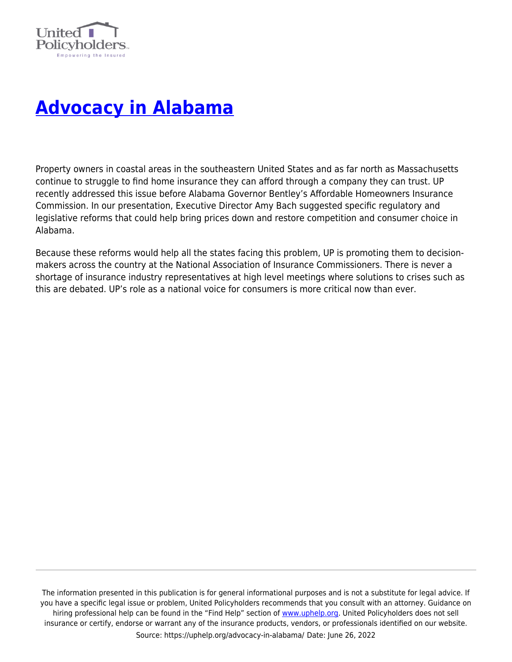

## **[Advocacy in Alabama](https://uphelp.org/advocacy-in-alabama/)**

Property owners in coastal areas in the southeastern United States and as far north as Massachusetts continue to struggle to find home insurance they can afford through a company they can trust. UP recently addressed this issue before Alabama Governor Bentley's Affordable Homeowners Insurance Commission. In our presentation, Executive Director Amy Bach suggested specific regulatory and legislative reforms that could help bring prices down and restore competition and consumer choice in Alabama.

Because these reforms would help all the states facing this problem, UP is promoting them to decisionmakers across the country at the National Association of Insurance Commissioners. There is never a shortage of insurance industry representatives at high level meetings where solutions to crises such as this are debated. UP's role as a national voice for consumers is more critical now than ever.

The information presented in this publication is for general informational purposes and is not a substitute for legal advice. If you have a specific legal issue or problem, United Policyholders recommends that you consult with an attorney. Guidance on hiring professional help can be found in the "Find Help" section of [www.uphelp.org.](http://www.uphelp.org/) United Policyholders does not sell insurance or certify, endorse or warrant any of the insurance products, vendors, or professionals identified on our website. Source: https://uphelp.org/advocacy-in-alabama/ Date: June 26, 2022